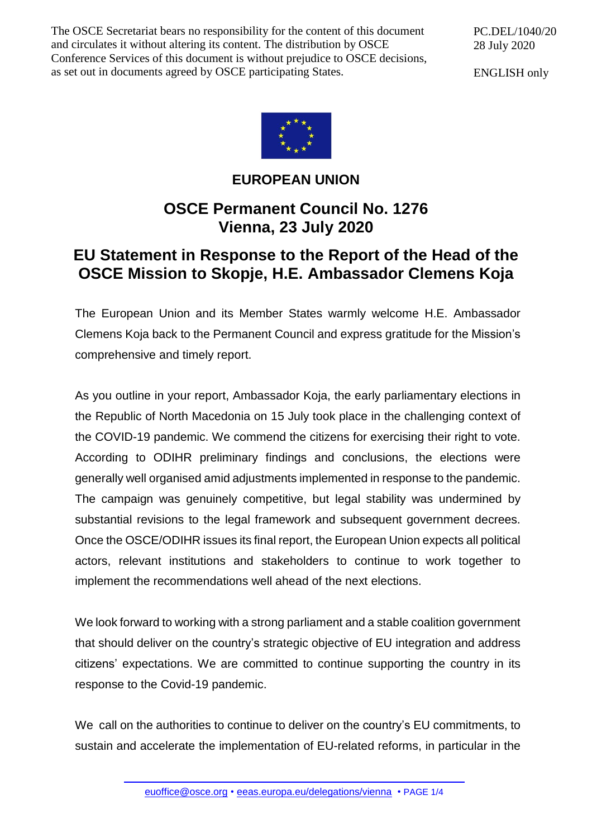The OSCE Secretariat bears no responsibility for the content of this document and circulates it without altering its content. The distribution by OSCE Conference Services of this document is without prejudice to OSCE decisions, as set out in documents agreed by OSCE participating States.

PC.DEL/1040/20 28 July 2020

ENGLISH only



## **EUROPEAN UNION**

## **OSCE Permanent Council No. 1276 Vienna, 23 July 2020**

## **EU Statement in Response to the Report of the Head of the OSCE Mission to Skopje, H.E. Ambassador Clemens Koja**

The European Union and its Member States warmly welcome H.E. Ambassador Clemens Koja back to the Permanent Council and express gratitude for the Mission's comprehensive and timely report.

As you outline in your report, Ambassador Koja, the early parliamentary elections in the Republic of North Macedonia on 15 July took place in the challenging context of the COVID-19 pandemic. We commend the citizens for exercising their right to vote. According to ODIHR preliminary findings and conclusions, the elections were generally well organised amid adjustments implemented in response to the pandemic. The campaign was genuinely competitive, but legal stability was undermined by substantial revisions to the legal framework and subsequent government decrees. Once the OSCE/ODIHR issues its final report, the European Union expects all political actors, relevant institutions and stakeholders to continue to work together to implement the recommendations well ahead of the next elections.

We look forward to working with a strong parliament and a stable coalition government that should deliver on the country's strategic objective of EU integration and address citizens' expectations. We are committed to continue supporting the country in its response to the Covid-19 pandemic.

We call on the authorities to continue to deliver on the country's EU commitments, to sustain and accelerate the implementation of EU-related reforms, in particular in the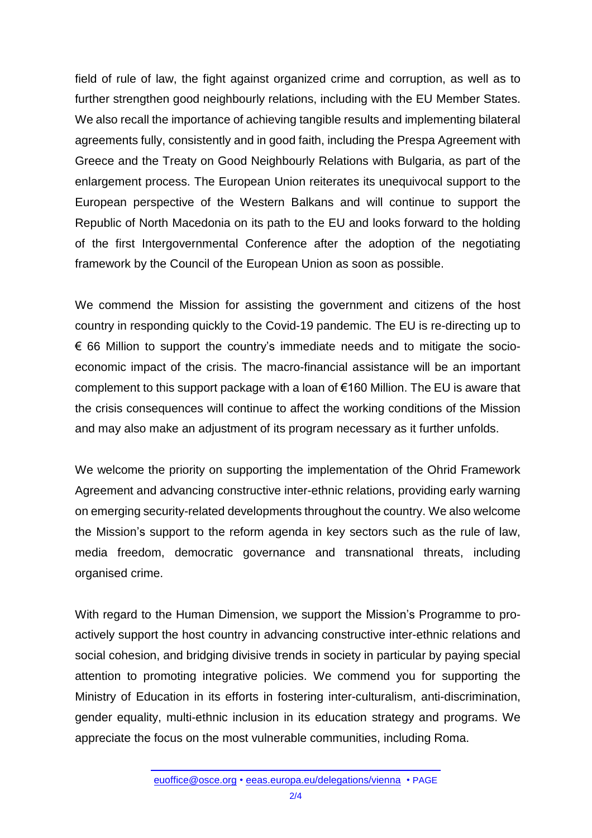field of rule of law, the fight against organized crime and corruption, as well as to further strengthen good neighbourly relations, including with the EU Member States. We also recall the importance of achieving tangible results and implementing bilateral agreements fully, consistently and in good faith, including the Prespa Agreement with Greece and the Treaty on Good Neighbourly Relations with Bulgaria, as part of the enlargement process. The European Union reiterates its unequivocal support to the European perspective of the Western Balkans and will continue to support the Republic of North Macedonia on its path to the EU and looks forward to the holding of the first Intergovernmental Conference after the adoption of the negotiating framework by the Council of the European Union as soon as possible.

We commend the Mission for assisting the government and citizens of the host country in responding quickly to the Covid-19 pandemic. The EU is re-directing up to  $\epsilon$  66 Million to support the country's immediate needs and to mitigate the socioeconomic impact of the crisis. The macro-financial assistance will be an important complement to this support package with a loan of €160 Million. The EU is aware that the crisis consequences will continue to affect the working conditions of the Mission and may also make an adjustment of its program necessary as it further unfolds.

We welcome the priority on supporting the implementation of the Ohrid Framework Agreement and advancing constructive inter-ethnic relations, providing early warning on emerging security-related developments throughout the country. We also welcome the Mission's support to the reform agenda in key sectors such as the rule of law, media freedom, democratic governance and transnational threats, including organised crime.

With regard to the Human Dimension, we support the Mission's Programme to proactively support the host country in advancing constructive inter-ethnic relations and social cohesion, and bridging divisive trends in society in particular by paying special attention to promoting integrative policies. We commend you for supporting the Ministry of Education in its efforts in fostering inter-culturalism, anti-discrimination, gender equality, multi-ethnic inclusion in its education strategy and programs. We appreciate the focus on the most vulnerable communities, including Roma.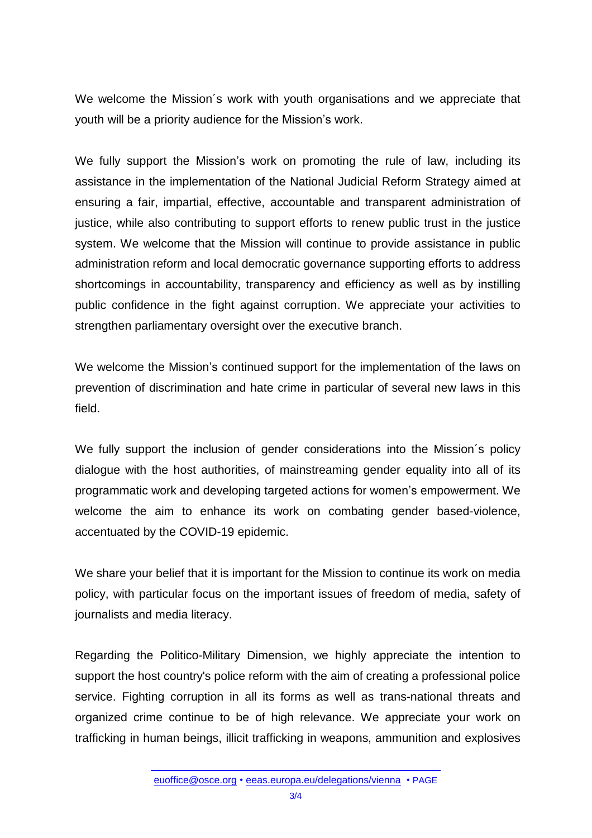We welcome the Mission´s work with youth organisations and we appreciate that youth will be a priority audience for the Mission's work.

We fully support the Mission's work on promoting the rule of law, including its assistance in the implementation of the National Judicial Reform Strategy aimed at ensuring a fair, impartial, effective, accountable and transparent administration of justice, while also contributing to support efforts to renew public trust in the justice system. We welcome that the Mission will continue to provide assistance in public administration reform and local democratic governance supporting efforts to address shortcomings in accountability, transparency and efficiency as well as by instilling public confidence in the fight against corruption. We appreciate your activities to strengthen parliamentary oversight over the executive branch.

We welcome the Mission's continued support for the implementation of the laws on prevention of discrimination and hate crime in particular of several new laws in this field.

We fully support the inclusion of gender considerations into the Mission´s policy dialogue with the host authorities, of mainstreaming gender equality into all of its programmatic work and developing targeted actions for women's empowerment. We welcome the aim to enhance its work on combating gender based-violence, accentuated by the COVID-19 epidemic.

We share your belief that it is important for the Mission to continue its work on media policy, with particular focus on the important issues of freedom of media, safety of journalists and media literacy.

Regarding the Politico-Military Dimension, we highly appreciate the intention to support the host country's police reform with the aim of creating a professional police service. Fighting corruption in all its forms as well as trans-national threats and organized crime continue to be of high relevance. We appreciate your work on trafficking in human beings, illicit trafficking in weapons, ammunition and explosives